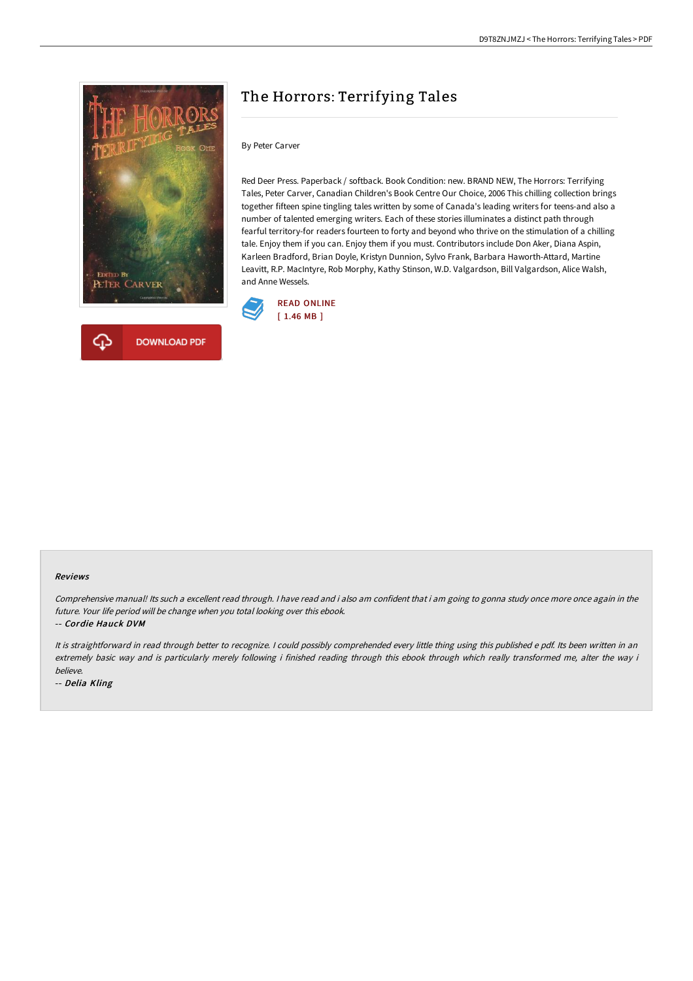

# The Horrors: Terrifying Tales

### By Peter Carver

Red Deer Press. Paperback / softback. Book Condition: new. BRAND NEW, The Horrors: Terrifying Tales, Peter Carver, Canadian Children's Book Centre Our Choice, 2006 This chilling collection brings together fifteen spine tingling tales written by some of Canada's leading writers for teens-and also a number of talented emerging writers. Each of these stories illuminates a distinct path through fearful territory-for readers fourteen to forty and beyond who thrive on the stimulation of a chilling tale. Enjoy them if you can. Enjoy them if you must. Contributors include Don Aker, Diana Aspin, Karleen Bradford, Brian Doyle, Kristyn Dunnion, Sylvo Frank, Barbara Haworth-Attard, Martine Leavitt, R.P. MacIntyre, Rob Morphy, Kathy Stinson, W.D. Valgardson, Bill Valgardson, Alice Walsh, and Anne Wessels.



#### Reviews

Comprehensive manual! Its such <sup>a</sup> excellent read through. <sup>I</sup> have read and i also am confident that i am going to gonna study once more once again in the future. Your life period will be change when you total looking over this ebook.

-- Cordie Hauck DVM

It is straightforward in read through better to recognize. <sup>I</sup> could possibly comprehended every little thing using this published <sup>e</sup> pdf. Its been written in an extremely basic way and is particularly merely following i finished reading through this ebook through which really transformed me, alter the way i believe.

-- Delia Kling